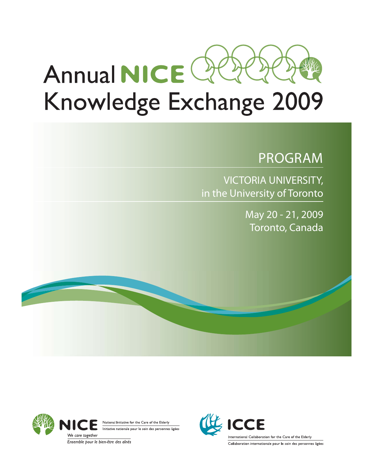

# Knowledge Exchange 2009

## PROGRAM

VICTORIA UNIVERSITY, in the University of Toronto

> May 20 - 21, 2009 Toronto, Canada



National Initiative for the Care of the Elderly Initiative nationale pour le soin des personnes âgées

Ensemble pour le bien-être des aînés

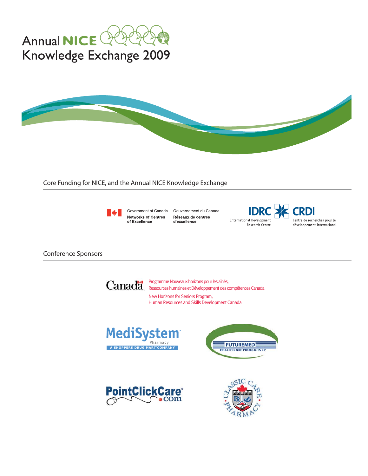



Core Funding for NICE, and the Annual NICE Knowledge Exchange



**Networks of Centres** of Excellence

Government of Canada Gouvernement du Canada Réseaux de centres d'excellence

**International Development** Research Centre



**Conference Sponsors** 



New Horizons for Seniors Program, Human Resources and Skills Development Canada







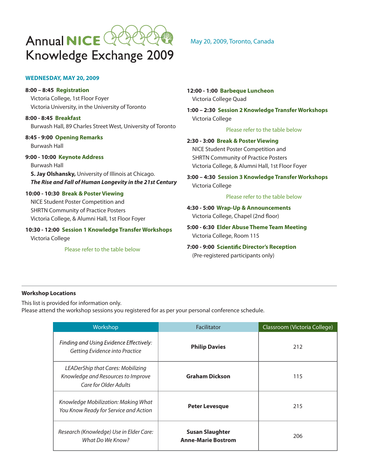

#### **WEDNESDAY, MAY 20, 2009**

**8:00 – 8:45 Registration** Victoria College, 1st Floor Foyer Victoria University, in the University of Toronto

**8:00 - 8:45 Breakfast** Burwash Hall, 89 Charles Street West, University of Toronto

**8:45 - 9:00 Opening Remarks** Burwash Hall

**9:00 - 10:00 Keynote Address**

Burwash Hall **S. Jay Olshansky,** University of Illinois at Chicago. *The Rise and Fall of Human Longevity in the 21st Century* 

#### **10:00 - 10:30 Break & Poster Viewing**  NICE Student Poster Competition and

SHRTN Community of Practice Posters Victoria College, & Alumni Hall, 1st Floor Foyer

**10:30 - 12:00 Session 1 Knowledge Transfer Workshops** Victoria College

Please refer to the table below

#### May 20, 2009, Toronto, Canada

**12:00 - 1:00 Barbeque Luncheon** Victoria College Quad

**1:00 – 2:30 Session 2 Knowledge Transfer Workshops** Victoria College

Please refer to the table below

**2:30 - 3:00 Break & Poster Viewing** NICE Student Poster Competition and SHRTN Community of Practice Posters Victoria College, & Alumni Hall, 1st Floor Foyer

**3:00 – 4:30 Session 3 Knowledge Transfer Workshops** Victoria College

Please refer to the table below

**4:30 - 5:00 Wrap-Up & Announcements** Victoria College, Chapel (2nd floor)

**5:00 - 6:30 Elder Abuse Theme Team Meeting** Victoria College, Room 115

**7:00 - 9:00 S Director's Reception** (Pre-registered participants only)

#### **Workshop Locations**

This list is provided for information only.

Please attend the workshop sessions you registered for as per your personal conference schedule.

| Workshop                                                                                         | Facilitator                                         | Classroom (Victoria College) |
|--------------------------------------------------------------------------------------------------|-----------------------------------------------------|------------------------------|
| Finding and Using Evidence Effectively:<br>Getting Evidence into Practice                        | <b>Philip Davies</b>                                | 212                          |
| LEADerShip that Cares: Mobilizing<br>Knowledge and Resources to Improve<br>Care for Older Adults | <b>Graham Dickson</b>                               | 115                          |
| Knowledge Mobilization: Making What<br>You Know Ready for Service and Action                     | <b>Peter Levesque</b>                               | 215                          |
| Research (Knowledge) Use in Elder Care:<br>What Do We Know?                                      | <b>Susan Slaughter</b><br><b>Anne-Marie Bostrom</b> | 206                          |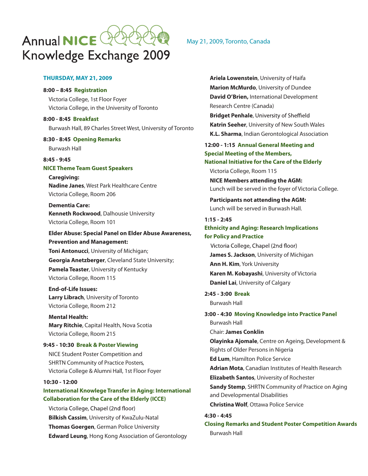

#### **THURSDAY, MAY 21, 2009**

#### **8:00 – 8:45 Registration**

Victoria College, 1st Floor Foyer Victoria College, in the University of Toronto

**8:00 - 8:45 Breakfast** Burwash Hall, 89 Charles Street West, University of Toronto

**8:30 - 8:45 Opening Remarks**

Burwash Hall

#### **8:45 - 9:45 NICE Theme Team Guest Speakers**

**Caregiving: Nadine Janes**, West Park Healthcare Centre Victoria College, Room 206

**Dementia Care: Kenneth Rockwood**, Dalhousie University Victoria College, Room 101

 **Elder Abuse: Special Panel on Elder Abuse Awareness, Prevention and Management: Toni Antonucci**, University of Michigan;  **Georgia Anetzberger**, Cleveland State University;  **Pamela Teaster**, University of Kentucky Victoria College, Room 115

**End-of-Life Issues: Larry Librach**, University of Toronto Victoria College, Room 212

 **Mental Health: Mary Ritchie**, Capital Health, Nova Scotia Victoria College, Room 215

#### **9:45 - 10:30 Break & Poster Viewing**

 NICE Student Poster Competition and SHRTN Community of Practice Posters, Victoria College & Alumni Hall, 1st Floor Foyer

#### **10:30 - 12:00**

#### **International Knowlege Transfer in Aging: International Collaboration for the Care of the Elderly (ICCE)**

Victoria College, Chapel (2nd floor)  **Bilkish Cassim**, University of KwaZulu-Natal **Thomas Goergen**, German Police University **Edward Leung**, Hong Kong Association of Gerontology

#### May 21, 2009, Toronto, Canada

**Ariela Lowenstein**, University of Haifa **Marion McMurdo**, University of Dundee **David O'Brien,** International Development Research Centre (Canada) **Bridget Penhale** , **Katrin Seeher**, University of New South Wales **K.L. Sharma**, Indian Gerontological Association **12:00 - 1:15 Annual General Meeting and Special Meeting of the Members, National Initiative for the Care of the Elderly** Victoria College, Room 115 **NICE Members attending the AGM:**  Lunch will be served in the foyer of Victoria College. **Participants not attending the AGM:**  Lunch will be served in Burwash Hall. **1:15 - 2:45 Ethnicity and Aging: Research Implications for Policy and Practice** Victoria College, Chapel (2nd floor)  **James S. Jackson**, University of Michigan **Ann H. Kim**, York University **Karen M. Kobayashi**, University of Victoria **Daniel Lai**, University of Calgary **2:45 - 3:00 Break** Burwash Hall **3:00 - 4:30 Moving Knowledge into Practice Panel** Burwash Hall Chair: **James Conklin Olayinka Ajomale**, Centre on Ageing, Development & Rights of Older Persons in Nigeria **Ed Lum**, Hamilton Police Service **Adrian Mota**, Canadian Institutes of Health Research **Elizabeth Santos**, University of Rochester **Sandy Stemp**, SHRTN Community of Practice on Aging and Developmental Disabilities **Christina Wolf**, Ottawa Police Service **4:30 - 4:45** 

**Closing Remarks and Student Poster Competition Awards** Burwash Hall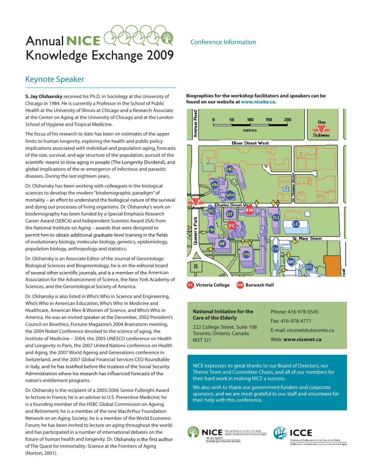## Annual **NICE**  $\mathbb Q$ Knowledge Exchange 2009

#### Keynote Speaker

**S. Jay Olshansky** received his Ph.D. in Sociology at the University of Chicago in 1984. He is currently a Professor in the School of Public Health at the University of Illinois at Chicago and a Research Associate at the Center on Aging at the University of Chicago and at the London School of Hygiene and Tropical Medicine.

The focus of his research to date has been on estimates of the upper limits to human longevity, exploring the health and public policy implications associated with individual and population aging, forecasts of the size, survival, and age structure of the population, pursuit of the scientific means to slow aging in people (The Longevity Dividend), and global implications of the re-emergence of infectious and parasitic diseases. During the last eighteen years,

Dr. Olshansky has been working with colleagues in the biological sciences to develop the modern "biodemographic paradigm" of mortality - an effort to understand the biological nature of the survival and dying out processes of living organisms. Dr. Olshansky's work on biodemography has been funded by a Special Emphasis Research Career Award (SERCA) and Independent Scientist Award (ISA) from the National Institute on Aging – awards that were designed to permit him to obtain additional graduate-level training in the fields of evolutionary biology, molecular biology, genetics, epidemiology, population biology, anthropology and statistics.

Dr. Olshansky is an Associate Editor of the Journal of Gerontology: Biological Sciences and Biogerontology, he is on the editorial board of several other scientific journals, and is a member of the American Association for the Advancement of Science, the New York Academy of Sciences, and the Gerontological Society of America.

Dr. Olshansky is also listed in Who's Who in Science and Engineering, Who's Who in American Education, Who's Who in Medicine and Healthcare, American Men & Women of Science, and Who's Who in America. He was an invited speaker at the December, 2002 President's Council on Bioethics, Fortune Magazine's 2004 Brainstorm meeting, the 2004 Nobel Conference devoted to the science of aging, the Institute of Medicine -- 2004, the 2005 UNESCO conference on Health and Longevity in Paris, the 2007 United Nations conference on Health and Aging, the 2007 World Ageing and Generations conference in Switzerland, and the 2007 Global Financial Services CEO Roundtable in Italy, and he has testified before the trustees of the Social Security Administration where his research has influenced forecasts of the nation's entitlement programs.

Dr. Olshansky is the recipient of a 2005/2006 Senior Fulbright Award to lecture in France; he is an adviser to U.S. Preventive Medicine; he is a founding member of the HSBC Global Commission on Ageing and Retirement; he is a member of the new MacArthur Foundation Network on an Aging Society; he is a member of the World Economic Forum; he has been invited to lecture on aging throughout the world; and has participated in a number of international debates on the future of human health and longevity. Dr. Olshansky is the first author of The Quest for Immortality: Science at the Frontiers of Aging (Norton, 2001).

#### Conference Information

**Biographies for the workshop facilitators and speakers can be found on our website at www.niceke.ca.**



#### **National Initiative for the Care of the Elderly**

222 College Street, Suite 106 Toronto, Ontario, Canada M5T 3J1

Phone: 416-978-0545 Fax: 416-978-4771 E-mail: nicenet@utoronto.ca Web: **www.nicenet.ca**

NICE expresses its great thanks to our Board of Directors, our Theme Team and Committee Chairs, and all of our members for their hard work in making NICE a success.

We also wish to thank our government funders and corporate sponsors, and we are most grateful to our staff and volunteers for their help with this conference.





ational Collaboration for the Care of the Elderly ionale pour le soin des personnes âgée: